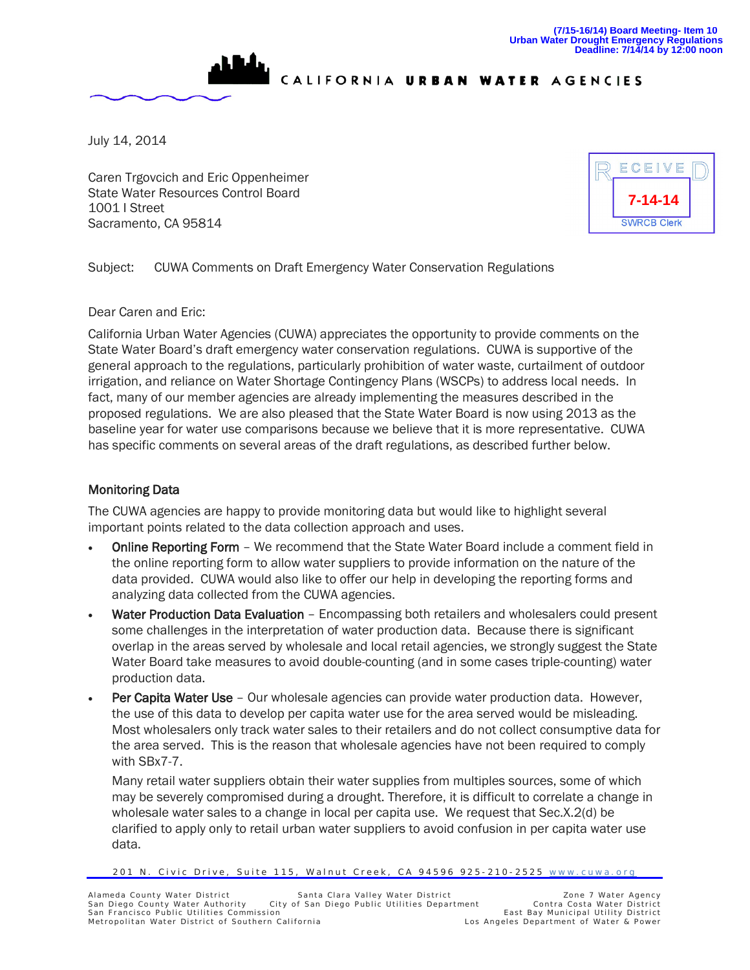

CALIFORNIA URBAN WATER AGENCIES

July 14, 2014

Caren Trgovcich and Eric Oppenheimer State Water Resources Control Board 1001 I Street Sacramento, CA 95814



Subject: CUWA Comments on Draft Emergency Water Conservation Regulations

Dear Caren and Eric:

California Urban Water Agencies (CUWA) appreciates the opportunity to provide comments on the State Water Board's draft emergency water conservation regulations. CUWA is supportive of the general approach to the regulations, particularly prohibition of water waste, curtailment of outdoor irrigation, and reliance on Water Shortage Contingency Plans (WSCPs) to address local needs. In fact, many of our member agencies are already implementing the measures described in the proposed regulations. We are also pleased that the State Water Board is now using 2013 as the baseline year for water use comparisons because we believe that it is more representative. CUWA has specific comments on several areas of the draft regulations, as described further below.

## Monitoring Data

The CUWA agencies are happy to provide monitoring data but would like to highlight several important points related to the data collection approach and uses.

- Online Reporting Form We recommend that the State Water Board include a comment field in the online reporting form to allow water suppliers to provide information on the nature of the data provided. CUWA would also like to offer our help in developing the reporting forms and analyzing data collected from the CUWA agencies.
- Water Production Data Evaluation Encompassing both retailers and wholesalers could present some challenges in the interpretation of water production data. Because there is significant overlap in the areas served by wholesale and local retail agencies, we strongly suggest the State Water Board take measures to avoid double-counting (and in some cases triple-counting) water production data.
- **Per Capita Water Use** Our wholesale agencies can provide water production data. However, the use of this data to develop per capita water use for the area served would be misleading. Most wholesalers only track water sales to their retailers and do not collect consumptive data for the area served. This is the reason that wholesale agencies have not been required to comply with SBx7-7.

Many retail water suppliers obtain their water supplies from multiples sources, some of which may be severely compromised during a drought. Therefore, it is difficult to correlate a change in wholesale water sales to a change in local per capita use. We request that Sec.X.2(d) be clarified to apply only to retail urban water suppliers to avoid confusion in per capita water use data.

<sup>201</sup> N. Civic Drive, Suite 115, Walnut Creek, CA 94596 925-210-2525 [www.cuwa.org](http://www.cuwa.org/)